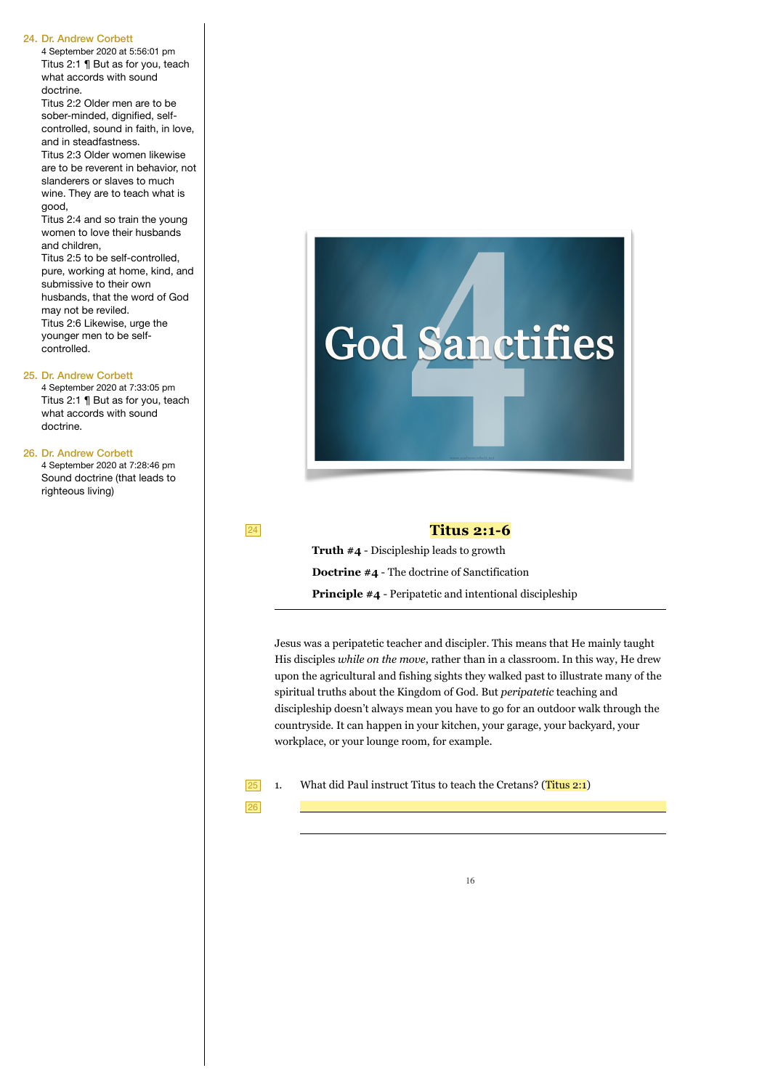4 September 2020 at 5:56:01 pm Titus 2:1 ¶ But as for you, teach what accords with sound doctrine.

Titus 2:2 Older men are to be sober-minded, dignified, selfcontrolled, sound in faith, in love, and in steadfastness.

Titus 2:3 Older women likewise are to be reverent in behavior, not slanderers or slaves to much wine. They are to teach what is good,

Titus 2:4 and so train the young women to love their husbands and children,

Titus 2:5 to be self-controlled, pure, working at home, kind, and submissive to their own husbands, that the word of God may not be reviled. Titus 2:6 Likewise, urge the younger men to be selfcontrolled.

#### 25. Dr. Andrew Corbett

4 September 2020 at 7:33:05 pm Titus 2:1 ¶ But as for you, teach what accords with sound doctrine.

#### 26. Dr. Andrew Corbett

4 September 2020 at 7:28:46 pm Sound doctrine (that leads to righteous living)

24

## **Titus 2:1-6**

**God Sanctifies** 

**Truth #4** - Discipleship leads to growth **Doctrine #4** - The doctrine of Sanctification **Principle #4** - Peripatetic and intentional discipleship

Jesus was a peripatetic teacher and discipler. This means that He mainly taught His disciples *while on the move*, rather than in a classroom. In this way, He drew upon the agricultural and fishing sights they walked past to illustrate many of the spiritual truths about the Kingdom of God. But *peripatetic* teaching and discipleship doesn't always mean you have to go for an outdoor walk through the countryside. It can happen in your kitchen, your garage, your backyard, your workplace, or your lounge room, for example.

What did Paul instruct Titus to teach the Cretans? (Titus 2:1)  $\boxed{25}$  1.

26

 $\overline{\phantom{a}}$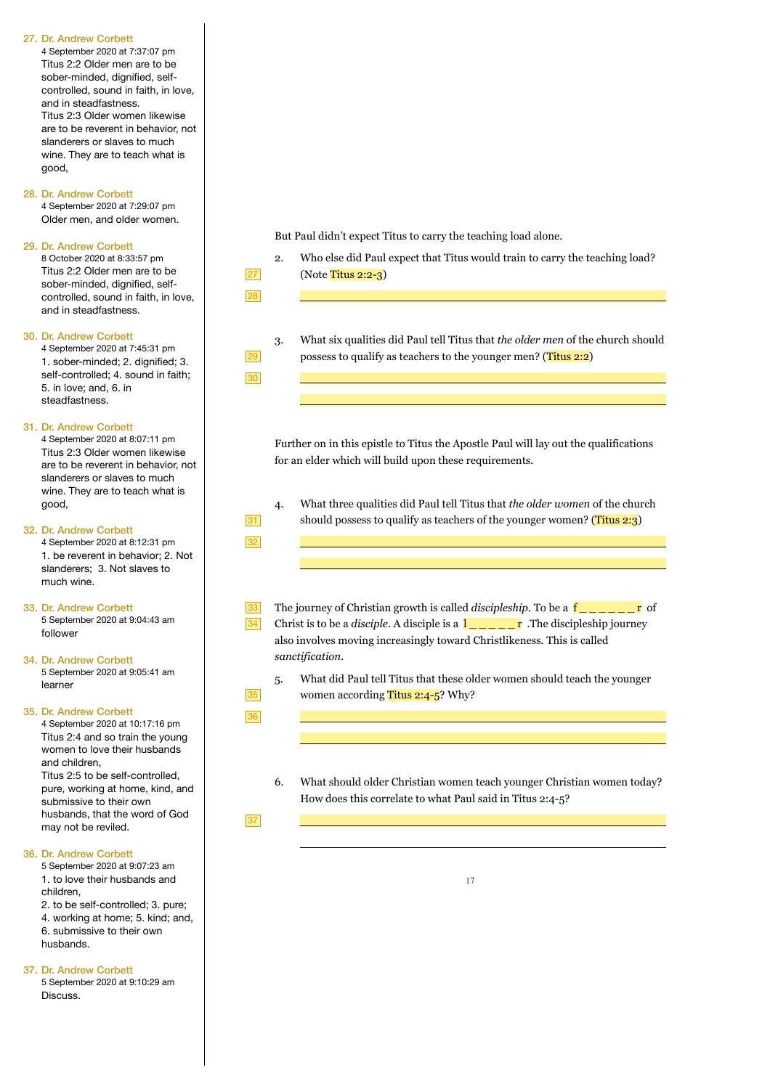4 September 2020 at 7:37:07 pm Titus 2:2 Older men are to be sober-minded, dignified, selfcontrolled, sound in faith, in love, and in steadfastness. Titus 2:3 Older women likewise are to be reverent in behavior, not slanderers or slaves to much wine. They are to teach what is good,

#### 28. Dr. Andrew Corbett

4 September 2020 at 7:29:07 pm Older men, and older women.

### 29. Dr. Andrew Corbett

8 October 2020 at 8:33:57 pm Titus 2:2 Older men are to be sober-minded dignified selfcontrolled, sound in faith, in love, and in steadfastness.

#### 30. Dr. Andrew Corbett

4 September 2020 at 7:45:31 pm 1. sober-minded; 2. dignified; 3. self-controlled; 4. sound in faith; 5. in love; and, 6. in steadfastness.

#### 31. Dr. Andrew Corbett

4 September 2020 at 8:07:11 pm Titus 2:3 Older women likewise are to be reverent in behavior, not slanderers or slaves to much wine. They are to teach what is good,

#### 32. Dr. Andrew Corbett

4 September 2020 at 8:12:31 pm 1. be reverent in behavior; 2. Not slanderers; 3. Not slaves to much wine.

33. Dr. Andrew Corbett 5 September 2020 at 9:04:43 am follower

#### 34. Dr. Andrew Corbett 5 September 2020 at 9:05:41 am learner

#### 35. Dr. Andrew Corbett

4 September 2020 at 10:17:16 pm Titus 2:4 and so train the young women to love their husbands and children, Titus 2:5 to be self-controlled, pure, working at home, kind, and submissive to their own husbands, that the word of God may not be reviled.

#### 36. Dr. Andrew Corbett

5 September 2020 at 9:07:23 am 1. to love their husbands and children,

2. to be self-controlled; 3. pure; 4. working at home; 5. kind; and, 6. submissive to their own husbands.

#### 37. Dr. Andrew Corbett

5 September 2020 at 9:10:29 am Discuss.

But Paul didn't expect Titus to carry the teaching load alone.

- 2. Who else did Paul expect that Titus would train to carry the teaching load? (Note Titus 2:2-3)
- 27 28

29 30

31 32

> 33 34

35 36  $\overline{\phantom{a}}$ 

 $\overline{\phantom{a}}$ 

 $\overline{\phantom{a}}$ 

 $\overline{\phantom{a}}$ 

3. What six qualities did Paul tell Titus that *the older men* of the church should possess to qualify as teachers to the younger men? (Titus 2:2)

Further on in this epistle to Titus the Apostle Paul will lay out the qualifications for an elder which will build upon these requirements.

4. What three qualities did Paul tell Titus that *the older women* of the church should possess to qualify as teachers of the younger women? (Titus  $2:3$ )

The journey of Christian growth is called *discipleship*. To be a  $\bf{f}$   $\bf{r}$  of Christ is to be a *disciple*. A disciple is a  $\frac{1}{\sqrt{2}} \cdot \frac{1}{\sqrt{2}}$  The discipleship journey also involves moving increasingly toward Christlikeness. This is called *sanctification*.

- 5. What did Paul tell Titus that these older women should teach the younger women according Titus 2:4-5? Why?
- 6. What should older Christian women teach younger Christian women today? How does this correlate to what Paul said in Titus 2:4-5?

37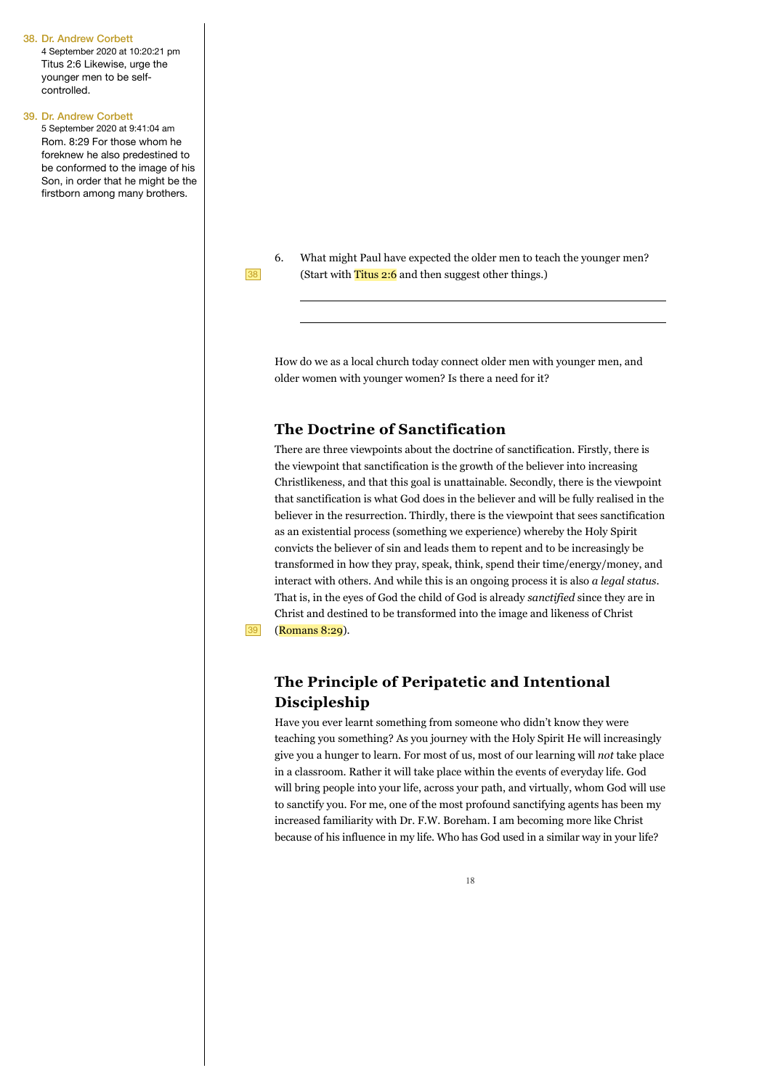4 September 2020 at 10:20:21 pm Titus 2:6 Likewise, urge the younger men to be selfcontrolled.

#### 39. Dr. Andrew Corbett

5 September 2020 at 9:41:04 am Rom. 8:29 For those whom he foreknew he also predestined to be conformed to the image of his Son, in order that he might be the firstborn among many brothers.



39

 $\overline{a}$ 

6. What might Paul have expected the older men to teach the younger men? (Start with Titus 2:6 and then suggest other things.)

How do we as a local church today connect older men with younger men, and older women with younger women? Is there a need for it?

### **The Doctrine of Sanctification**

There are three viewpoints about the doctrine of sanctification. Firstly, there is the viewpoint that sanctification is the growth of the believer into increasing Christlikeness, and that this goal is unattainable. Secondly, there is the viewpoint that sanctification is what God does in the believer and will be fully realised in the believer in the resurrection. Thirdly, there is the viewpoint that sees sanctification as an existential process (something we experience) whereby the Holy Spirit convicts the believer of sin and leads them to repent and to be increasingly be transformed in how they pray, speak, think, spend their time/energy/money, and interact with others. And while this is an ongoing process it is also *a legal status*. That is, in the eyes of God the child of God is already *sanctified* since they are in Christ and destined to be transformed into the image and likeness of Christ (Romans 8:29).

# **The Principle of Peripatetic and Intentional Discipleship**

Have you ever learnt something from someone who didn't know they were teaching you something? As you journey with the Holy Spirit He will increasingly give you a hunger to learn. For most of us, most of our learning will *not* take place in a classroom. Rather it will take place within the events of everyday life. God will bring people into your life, across your path, and virtually, whom God will use to sanctify you. For me, one of the most profound sanctifying agents has been my increased familiarity with Dr. F.W. Boreham. I am becoming more like Christ because of his influence in my life. Who has God used in a similar way in your life?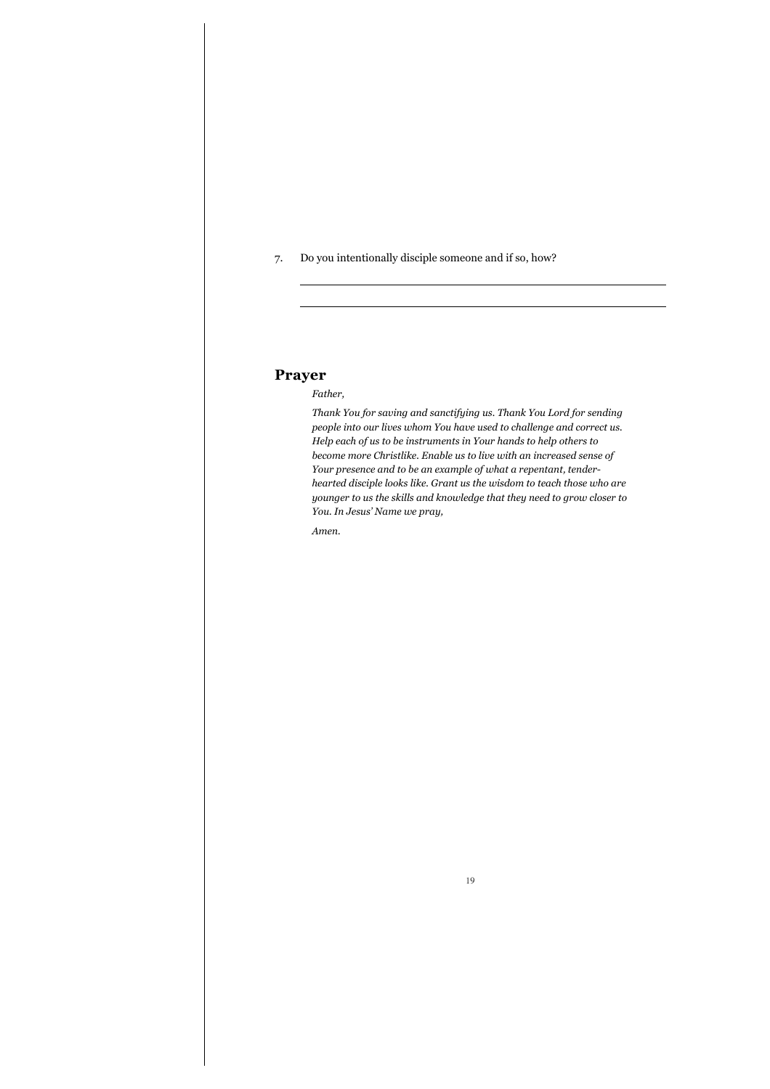7. Do you intentionally disciple someone and if so, how?

## **Prayer**

 $\overline{a}$ 

### *Father,*

*Thank You for saving and sanctifying us. Thank You Lord for sending people into our lives whom You have used to challenge and correct us. Help each of us to be instruments in Your hands to help others to become more Christlike. Enable us to live with an increased sense of Your presence and to be an example of what a repentant, tenderhearted disciple looks like. Grant us the wisdom to teach those who are younger to us the skills and knowledge that they need to grow closer to You. In Jesus' Name we pray,* 

*Amen.*